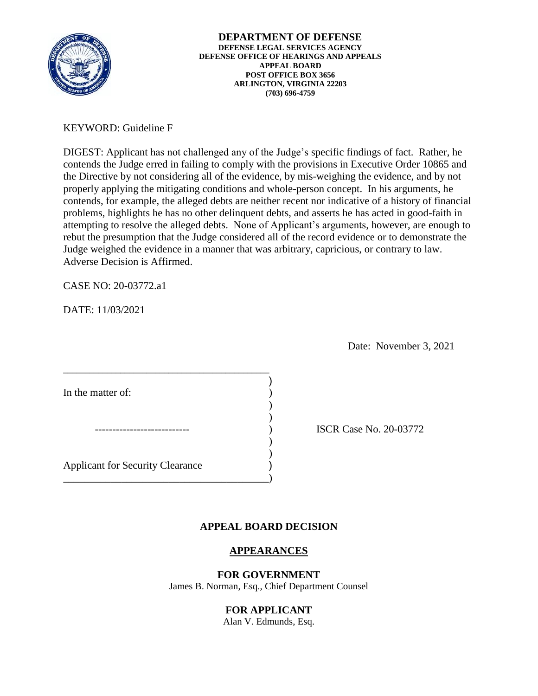

**DEPARTMENT OF DEFENSE DEFENSE LEGAL SERVICES AGENCY DEFENSE OFFICE OF HEARINGS AND APPEALS APPEAL BOARD POST OFFICE BOX 3656 ARLINGTON, VIRGINIA 22203 (703) 696-4759** 

## KEYWORD: Guideline F

 attempting to resolve the alleged debts. None of Applicant's arguments, however, are enough to DIGEST: Applicant has not challenged any of the Judge's specific findings of fact. Rather, he contends the Judge erred in failing to comply with the provisions in Executive Order 10865 and the Directive by not considering all of the evidence, by mis-weighing the evidence, and by not properly applying the mitigating conditions and whole-person concept. In his arguments, he contends, for example, the alleged debts are neither recent nor indicative of a history of financial problems, highlights he has no other delinquent debts, and asserts he has acted in good-faith in rebut the presumption that the Judge considered all of the record evidence or to demonstrate the Judge weighed the evidence in a manner that was arbitrary, capricious, or contrary to law. Adverse Decision is Affirmed.

CASE NO: 20-03772.a1

DATE: 11/03/2021

Date: November 3, 2021

In the matter of:

) ISCR Case No. 20-03772

Applicant for Security Clearance )

\_\_\_\_\_\_\_\_\_\_\_\_\_\_\_\_\_\_\_\_\_\_\_\_\_\_\_\_\_\_\_\_\_\_\_\_\_\_\_\_\_\_\_\_\_\_\_

 $\overline{\phantom{a}}$  $)$ 

\_\_\_\_\_\_\_\_\_\_\_\_\_\_\_\_\_\_\_\_\_\_\_\_\_\_\_\_\_\_\_\_\_\_\_\_\_\_\_)

# **APPEAL BOARD DECISION**

)

) )

# **APPEARANCES**

### **FOR GOVERNMENT**

James B. Norman, Esq., Chief Department Counsel

## **FOR APPLICANT**

Alan V. Edmunds, Esq.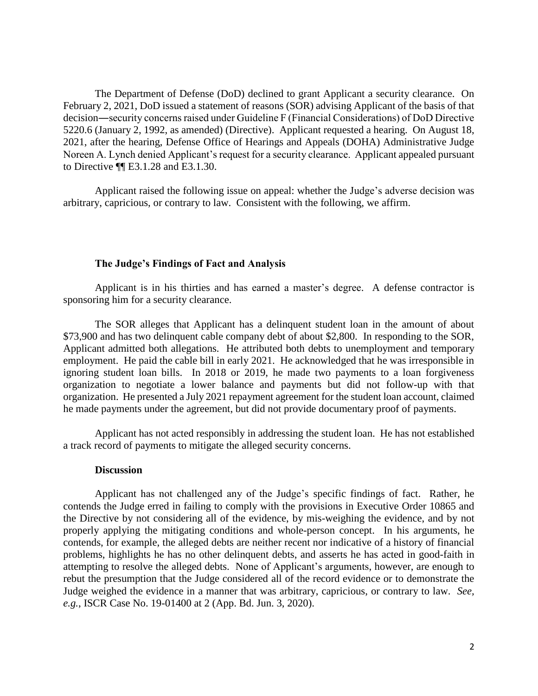The Department of Defense (DoD) declined to grant Applicant a security clearance. On February 2, 2021, DoD issued a statement of reasons (SOR) advising Applicant of the basis of that decision―security concerns raised under Guideline F (Financial Considerations) of DoD Directive 5220.6 (January 2, 1992, as amended) (Directive). Applicant requested a hearing. On August 18, 2021, after the hearing, Defense Office of Hearings and Appeals (DOHA) Administrative Judge Noreen A. Lynch denied Applicant's request for a security clearance. Applicant appealed pursuant to Directive ¶¶ E3.1.28 and E3.1.30.

 Applicant raised the following issue on appeal: whether the Judge's adverse decision was arbitrary, capricious, or contrary to law. Consistent with the following, we affirm.

#### **The Judge's Findings of Fact and Analysis**

Applicant is in his thirties and has earned a master's degree. A defense contractor is sponsoring him for a security clearance.

 \$73,900 and has two delinquent cable company debt of about \$2,800. In responding to the SOR, employment. He paid the cable bill in early 2021. He acknowledged that he was irresponsible in ignoring student loan bills. In 2018 or 2019, he made two payments to a loan forgiveness organization to negotiate a lower balance and payments but did not follow-up with that organization. He presented a July 2021 repayment agreement for the student loan account, claimed The SOR alleges that Applicant has a delinquent student loan in the amount of about Applicant admitted both allegations. He attributed both debts to unemployment and temporary he made payments under the agreement, but did not provide documentary proof of payments.

 Applicant has not acted responsibly in addressing the student loan. He has not established a track record of payments to mitigate the alleged security concerns.

#### **Discussion**

 Applicant has not challenged any of the Judge's specific findings of fact. Rather, he contends the Judge erred in failing to comply with the provisions in Executive Order 10865 and the Directive by not considering all of the evidence, by mis-weighing the evidence, and by not contends, for example, the alleged debts are neither recent nor indicative of a history of financial attempting to resolve the alleged debts. None of Applicant's arguments, however, are enough to Judge weighed the evidence in a manner that was arbitrary, capricious, or contrary to law. *See,*  properly applying the mitigating conditions and whole-person concept. In his arguments, he problems, highlights he has no other delinquent debts, and asserts he has acted in good-faith in rebut the presumption that the Judge considered all of the record evidence or to demonstrate the *e.g.*, ISCR Case No. 19-01400 at 2 (App. Bd. Jun. 3, 2020).